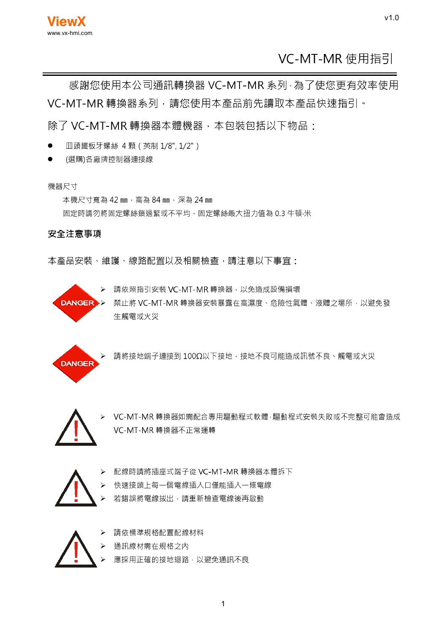# VC-MT-MR 使用指引

 $v1.0$ 

感謝您使用本公司通訊轉換器 VC-MT-MR 系列·為了使您更有效率使用 VC-MT-MR 轉換器系列, 請您使用本產品前先讀取本產品快速指引。

除了 VC-MT-MR 轉換器本體機器, 本包裝包括以下物品:

- Ⅲ頭鐵板牙螺絲 4顆 (英制 1/8", 1/2")
- (選購)各廠牌控制器連接線  $\bullet$

#### 機器尺寸

本機尺寸寬為 42 mm · 高為 84 mm · 深為 24 mm

固定時請勿將固定螺絲鎖過緊或不平均,固定螺絲最大扭力值為 0.3 牛頓·米

#### 安全注意事項

本產品安裝、維護、線路配置以及相關檢查,請注意以下事官:



▶ 請依照指引安裝 VC-MT-MR轉換器, 以免造成設備損壞

DANGER >> 禁止將 VC-MT-MR轉換器安裝暴露在高濕度、危險性氣體、液體之場所,以避免發 生觸電或火災



請將接地端子連接到 100Ω以下接地, 接地不良可能造成訊號不良、觸電或火災



VC-MT-MR轉換器如需配合專用驅動程式軟體·驅動程式安裝失敗或不完整可能會造成 VC-MT-MR 轉換器不正常運轉



- 配線時請將插座式端子從 VC-MT-MR 轉換器本體拆下  $\triangleright$
- 快速接頭上每一個電線插入口僅能插入一條電線  $\blacktriangleright$
- 若錯誤將電線拔出,請重新檢查電線後再啟動  $\triangleright$



- 請依標準規格配置配線材料
- 通訊線材需在規格之內  $\blacktriangleright$
- 應採用正確的接地迴路,以避免通訊不良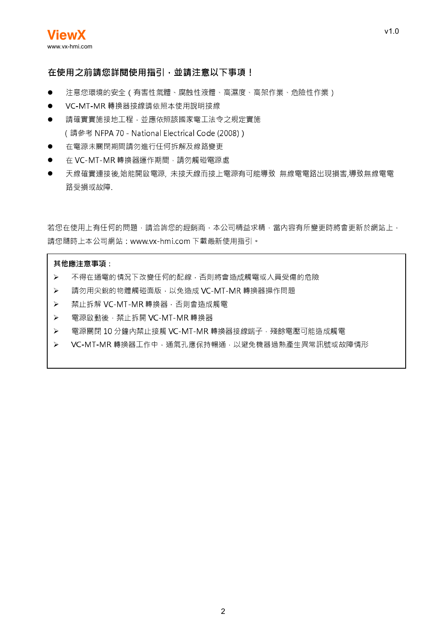#### 在使用之前請您詳閱使用指引,並請注意以下事項!

- 注意您環境的安全(有害性氣體、腐蝕性液體、高濕度、高架作業、危險性作業)
- VC-MT-MR轉換器接線請依照本使用說明接線  $\bullet$
- 請確實實施接地工程,並應依照該國家電工法令之規定實施  $\bullet$ (請參考 NFPA 70 - National Electrical Code (2008))
- 在電源未關閉期間請勿進行任何拆解及線路變更  $\bullet$
- 在 VC-MT-MR 轉換器運作期間, 請勿觸碰電源處
- 天線確實連接後,始能開啟電源, 未接天線而接上電源有可能導致 無線電電路出現損害,導致無線電電  $\bullet$ 路受損或故障.

若您在使用上有任何的問題,請洽詢您的經銷商,本公司精益求精,當內容有所變更時將會更新於網站上, 請您隨時上本公司網站: www.vx-hmi.com 下載最新使用指引。

#### 其他應注意事項:

- 不得在通電的情況下改變任何的配線,否則將會造成觸電或人員受傷的危險  $\blacktriangleright$
- $\blacktriangleright$ 請勿用尖銳的物體觸碰面版, 以免造成 VC-MT-MR 轉換器操作問題
- 禁止拆解 VC-MT-MR轉換器 · 否則會造成觸電  $\blacktriangleright$
- $\blacktriangleright$ 電源啟動後,禁止拆開 VC-MT-MR轉換器
- 電源關閉 10 分鐘內禁止接觸 VC-MT-MR 轉換器接線端子 · 殘餘電壓可能造成觸電  $\blacktriangleright$
- $\blacktriangleright$ VC-MT-MR 轉換器工作中, 通氣孔應保持暢通, 以避免機器過熱產生異常訊號或故障情形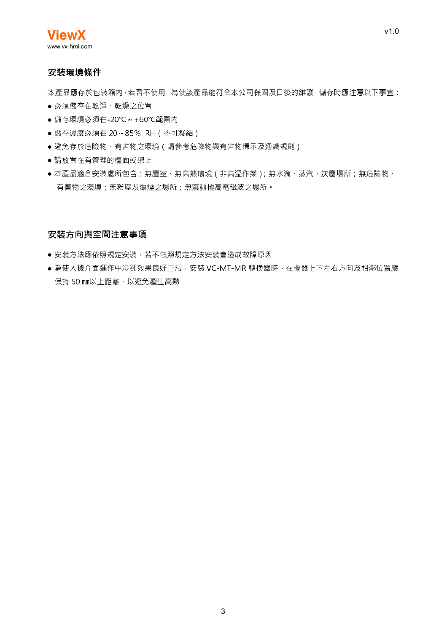#### 安裝環境條件

本產品應存於包裝箱內 ·若暫不使用 ·為使該產品能符合本公司保固及日後的維護 ·儲存時應注意以下事宜:

- 必須儲存在乾淨、乾燥之位置
- 儲存環境必須在-20℃~+60℃範圍內
- 儲存濕度必須在 20~85% RH (不可凝結)
- 避免存於危險物、有害物之環境(請參考危險物與有害物標示及通識規則)
- 請放置在有管理的檯面或架上
- 本產品適合安裝處所包含:無塵室、無高熱環境(非高溫作業); 無水滴、蒸汽、灰塵場所;無危險物、 有害物之環境:無粉塵及燻煙之場所:無震動極高電磁波之場所。

#### 安裝方向與空間注意事項

- 安裝方法應依照規定安裝 · 若不依照規定方法安裝會造成故障原因
- ●為使人機介面運作中冷卻效果良好正常, 安裝 VC-MT-MR轉換器時, 在機器上下左右方向及相鄰位置應 保持 50 mm以上距離, 以避免產生高熱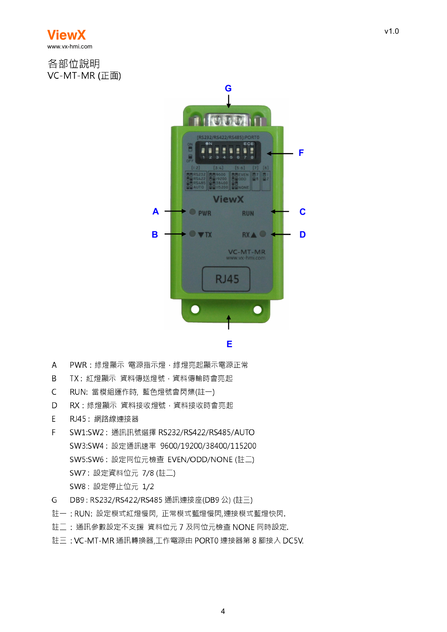

各部位說明 VC-MT-MR (正面)



- $\overline{A}$ PWR: 綠燈顯示 電源指示燈, 綠燈亮起顯示電源正常
- TX: 紅燈顯示 資料傳送燈號, 資料傳輸時會亮起  $\overline{B}$
- $\overline{C}$ RUN: 當模組運作時, 藍色燈號會閃爍(註一)
- $\mathsf{D}$ RX: 綠燈顯示 資料接收燈號, 資料接收時會亮起
- RJ45: 網路線連接器 F
- $\overline{F}$ SW1:SW2: 通訊訊號選擇 RS232/RS422/RS485/AUTO SW3:SW4: 設定通訊速率 9600/19200/38400/115200 SW5:SW6: 設定同位元檢查 EVEN/ODD/NONE (註二) SW7: 設定資料位元 7/8 (註二) SW8: 設定停止位元 1/2
- G. DB9: RS232/RS422/RS485 通訊連接座(DB9 公) (註三)
- 註一: RUN: 設定模式紅燈慢閃, 正常模式藍燈慢閃,連接模式藍燈快閃.
- 註二: 通訊參數設定不支援 資料位元 7 及同位元檢查 NONE 同時設定.
- 註三: VC-MT-MR 通訊轉換器,工作電源由 PORT0 連接器第 8 腳接入 DC5V.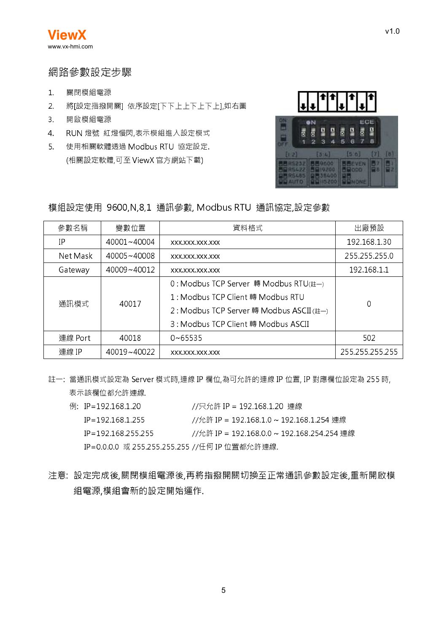### 網路參數設定步驟

- 關閉模組電源  $1.$
- 2. 將[設定指撥開關] 依序設定[下下上上下上下上],如右圖
- 3. 開啟模組電源
- 4. RUN 燈號 紅燈慢閃,表示模組進入設定模式
- 5. 使用相關軟體透過 Modbus RTU 協定設定. (相關設定軟體,可至 ViewX 官方網站下載)



#### 模組設定使用 9600,N,8,1 通訊參數, Modbus RTU 通訊協定,設定參數

| 參數名稱     | 變數位置        | 資料格式                                     | 出廠預設            |  |
|----------|-------------|------------------------------------------|-----------------|--|
| ΤP       | 40001~40004 | XXX.XXX.XXX.XXX                          | 192.168.1.30    |  |
| Net Mask | 40005~40008 | XXX.XXX.XXX.XXX                          | 255.255.255.0   |  |
| Gateway  | 40009~40012 | XXX.XXX.XXX.XXX                          | 192.168.1.1     |  |
| 通訊模式     | 40017       | 0: Modbus TCP Server 轉 Modbus RTU(註一)    |                 |  |
|          |             | 1 : Modbus TCP Client 轉 Modbus RTU       |                 |  |
|          |             | 2: Modbus TCP Server 轉 Modbus ASCII (註一) | 0               |  |
|          |             | 3: Modbus TCP Client 轉 Modbus ASCII      |                 |  |
| 連線 Port  | 40018       | $0\nu$ 65535                             | 502             |  |
| 連線 IP    | 40019~40022 | XXX.XXX.XXX.XXX                          | 255.255.255.255 |  |

註一:當通訊模式設定為 Server 模式時,連線 IP 欄位,為可允許的連線 IP 位置, IP 對應欄位設定為 255 時, 表示該欄位都允許連線.

- 例: IP=192.168.1.20 //只允許 IP = 192.168.1.20 連線  $IP = 192.168.1.255$ //允許 IP = 192.168.1.0 ~ 192.168.1.254 連線  $IP = 192.168.255.255$ //允許 IP = 192.168.0.0 ~ 192.168.254.254 連線 IP=0.0.0.0 或 255.255.255.255 //任何 IP 位置都允許連線.
- 注意:設定完成後,關閉模組電源後,再將指撥開關切換至正常通訊參數設定後,重新開啟模 組電源,模組會新的設定開始運作.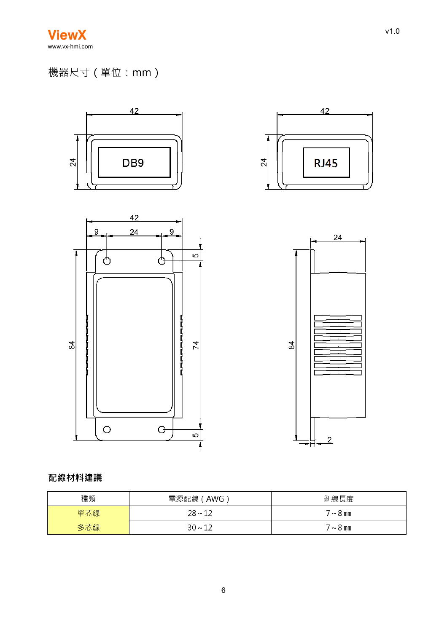# 機器尺寸(單位:mm)



# 配線材料建議

| 種類  | 電源配線 (AWG)   | 剝線長度          |
|-----|--------------|---------------|
| 單芯線 | $28 \sim 12$ | $7 \sim 8$ mm |
| 多芯線 | $30 - 12$    | $7\sim8$ mm   |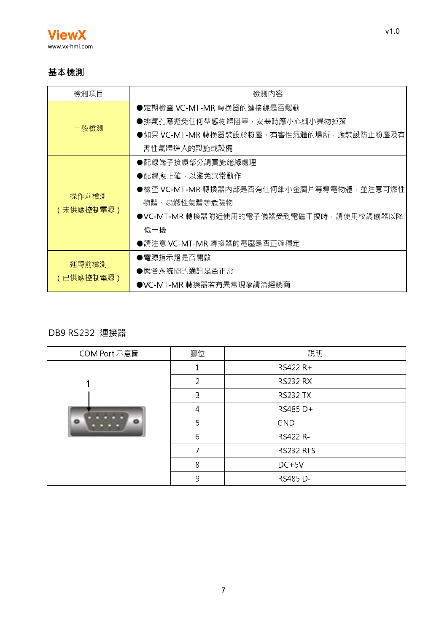

## 基本檢測

| 檢測項目      | 檢測內容                                     |
|-----------|------------------------------------------|
|           | ●定期檢查 VC-MT-MR 轉換器的連接線是否鬆動               |
|           | ●排氣孔應避免任何型態物體阻塞,安裝時應小心細小異物掉落             |
| 一般檢測      | ●如果 VC-MT-MR 轉換器裝設於粉塵、有害性氣體的場所﹐應裝設防止粉塵及有 |
|           | 害性氣體進入的設施或設備                             |
|           | ●配線端子接續部分請實施絕緣處理                         |
|           | ●配線應正確,以避免異常動作                           |
|           | ●檢查 VC-MT-MR 轉換器內部是否有任何細小金屬片等導電物體,並注意可燃性 |
| 操作前檢測     | 物體、易燃性氣體等危險物                             |
| (未供應控制電源) | ●VC-MT-MR 轉換器附近使用的電子儀器受到電磁干擾時,請使用校調儀器以降  |
|           | 低干擾                                      |
|           | ●請注意 VC-MT-MR 轉換器的電壓是否正確穩定               |
|           | ●電源指示燈是否開啟                               |
| 運轉前檢測     | ●與各系統間的通訊是否正常                            |
| (已供應控制電源) | ●VC-MT-MR 轉換器若有異常現象請洽經銷商                 |

## DB9 RS232 連接器

| COM Port 示意圖 | 腳位             | 說明               |
|--------------|----------------|------------------|
|              |                | RS422 R+         |
| ◢            | $\overline{2}$ | <b>RS232 RX</b>  |
|              | 3              | <b>RS232 TX</b>  |
|              | 4              | RS485 D+         |
| ō<br>ō       | 5              | <b>GND</b>       |
|              | 6              | RS422 R-         |
|              | 7              | <b>RS232 RTS</b> |
|              | 8              | $DC+5V$          |
|              | 9              | RS485 D-         |